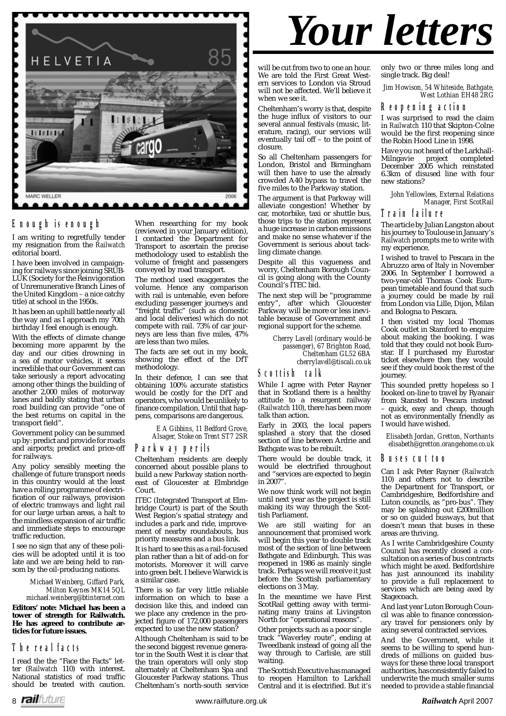

#### **Enough is enough**

I am writing to regretfully tender my resignation from the *Railwatch* editorial board.

I have been involved in campaigning for railways since joining SRUB-LUK (Society for the Reinvigoration of Unremunerative Branch Lines of the United Kingdom – a nice catchy title) at school in the 1950s.

It has been an uphill battle nearly all the way and as I approach my 70th birthday I feel enough is enough.

With the effects of climate change becoming more apparent by the day and our cities drowning in a sea of motor vehicles, it seems incredible that our Government can take seriously a report advocating among other things the building of another 2,000 miles of motorway lanes and baldly stating that urban road building can provide "one of the best returns on capital in the transport field".

Government policy can be summed up by: predict and provide for roads and airports; predict and price-off for railways.

Any policy sensibly meeting the challenge of future transport needs in this country would at the least have a rolling programme of electrification of our railways, provision of electric tramways and light rail for our large urban areas, a halt to the mindless expansion of air traffic and immediate steps to encourage traffic reduction.

I see no sign that any of these policies will be adopted until it is too late and we are being held to ransom by the oil-producing nations.

> *Michael Weinberg, Giffard Park, Milton Keynes MK14 5QL michael.weinberg@btinternet.com*

**Editors' note: Michael has been a tower of strength for Railwatch. He has agreed to contribute articles for future issues.**

#### **The real facts**

I read the the "Face the Facts" letter (*Railwatch* 110) with interest. National statistics of road traffic should be treated with caution.

When researching for my book (reviewed in your January edition), I contacted the Department for Transport to ascertain the precise

methodology used to establish the volume of freight and passengers conveyed by road transport.

The method used exaggerates the volume. Hence any comparison with rail is untenable, even before excluding passenger journeys and "freight traffic" (such as domestic and local deliveries) which do not compete with rail. 73% of car journeys are less than five miles,  $47%$ are less than two miles.

The facts are set out in my book, showing the effect of the DfT methodology.

In their defence, I can see that obtaining 100% accurate statistics would be costly for the DfT and operators, who would be unlikely to finance compilation. Until that happens, comparisons are dangerous.

> *E A Gibbins, 11 Bedford Grove, Alsager, Stoke on Trent ST7 2SR*

#### **Parkway perils**

Cheltenham residents are deeply concerned about possible plans to build a new Parkway station northeast of Gloucester at Elmbridge Court.

ITEC (Integrated Transport at Elmbridge Court) is part of the South West Region's spatial strategy and includes a park and ride, improvement of nearby roundabouts, bus priority measures and a bus link.

It is hard to see this as a rail-focused plan rather than a bit of add-on for motorists. Moreover it will carve into green belt. I believe Warwick is a similar case.

There is so far very little reliable information on which to base a decision like this, and indeed can we place any credence in the projected figure of 172,000 passengers expected to use the new station?

Although Cheltenham is said to be the second biggest revenue generator in the South West it is clear that the train operators will only stop alternately at Cheltenham Spa and Gloucester Parkway stations. Thus Cheltenham's north-south service

## *Your letters*

will be cut from two to one an hour. We are told the First Great Western services to London via Stroud will not be affected. We'll believe it when we see it.

Cheltenham's worry is that, despite the huge influx of visitors to our several annual festivals (music, literature, racing), our services will eventually tail off – to the point of closure.

So all Cheltenham passengers for London, Bristol and Birmingham will then have to use the already crowded A40 bypass to travel the five miles to the Parkway station.

The argument is that Parkway will alleviate congestion! Whether by car, motorbike, taxi or shuttle bus, those trips to the station represent a huge increase in carbon emissions and make no sense whatever if the Government is serious about tackling climate change.

Despite all this vagueness and worry, Cheltenham Borough Council is going along with the County Council's ITEC bid.

The next step will be "programme entry", after which Gloucester Parkway will be more or less inevitable because of Government and regional support for the scheme.

> *Cherry Lavell (ordinary would-be passenger), 67 Brighton Road, Cheltenham GL52 6BA cherrylavell@tiscali.co.uk*

#### **Scottish talk**

While I agree with Peter Rayner that in Scotland there is a healthy attitude to a resurgent railway (*Railwatch* 110), there has been more talk than action.

Early in 2003, the local papers splashed a story that the closed section of line between Ardrie and Bathgate was to be rebuilt.

There would be double track, it would be electrified throughout and "services are expected to begin in 2007".

We now think work will not begin until next year as the project is still making its way through the Scottish Parliament.

We are still waiting for an announcement that promised work will begin this year to double track most of the section of line between Bathgate and Edinburgh. This was reopened in 1986 as mainly single track. Perhaps we will receive it just before the Scottish parliamentary elections on 3 May.

In the meantime we have First ScotRail getting away with terminating many trains at Livingston North for "operational reasons".

Other projects such as a poor single track "Waverley route", ending at Tweedbank instead of going all the way through to Carlisle, are still waiting.

The Scottish Executive has managed to reopen Hamilton to Larkhall Central and it is electrified. But it's only two or three miles long and single track. Big deal!

*Jim Howison, 54 Whiteside, Bathgate, West Lothian EH48 2RG*

#### **Reopening action**

I was surprised to read the claim in *Railwatch* 110 that Skipton-Colne would be the first reopening since the Robin Hood Line in 1998.

Have you not heard of the Larkhall-<br>Milngavie project completed Milngavie project completed December 2005 which reinstated 6.3km of disused line with four new stations?

*John Yellowlees, External Relations Manager, First ScotRail*

#### **Train failure**

The article by Julian Langston about his journey to Toulouse in January's *Railwatch* prompts me to write with my experience.

I wished to travel to Pescara in the Abruzzo area of Italy in November 2006. In September I borrowed a two-year-old Thomas Cook European timetable and found that such a journey could be made by rail from London via Lille, Dijon, Milan and Bologna to Pescara.

I then visited my local Thomas Cook outlet in Stamford to enquire about making the booking. I was told that they could not book Eurostar. If I purchased my Eurostar ticket elsewhere then they would see if they could book the rest of the journey.

This sounded pretty hopeless so I booked on-line to travel by Ryanair from Stansted to Pescara instead – quick, easy and cheap, though not as environmentally friendly as I would have wished.

*Elisabeth Jordan, Gretton, Northants elisabeth@gretton.orangehome.co.uk*

#### **Buses cut too**

Can I ask Peter Rayner (*Railwatch* 110) and others not to describe the Department for Transport, or Cambridgeshire, Bedfordshire and Luton councils, as "pro-bus". They may be splashing out £200million or so on guided busways, but that doesn't mean that buses in these areas are thriving.

As I write Cambridgeshire County Council has recently closed a consultation on a series of bus contracts which might be axed. Bedfordshire has just announced its inability to provide a full replacement to services which are being axed by Stagecoach.

And last year Luton Borough Council was able to finance concessionary travel for pensioners only by axing several contracted services.

And the Government, while it seems to be willing to spend hundreds of millions on guided busways for these three local transport authorities, has consistently failed to underwrite the much smaller sums needed to provide a stable financial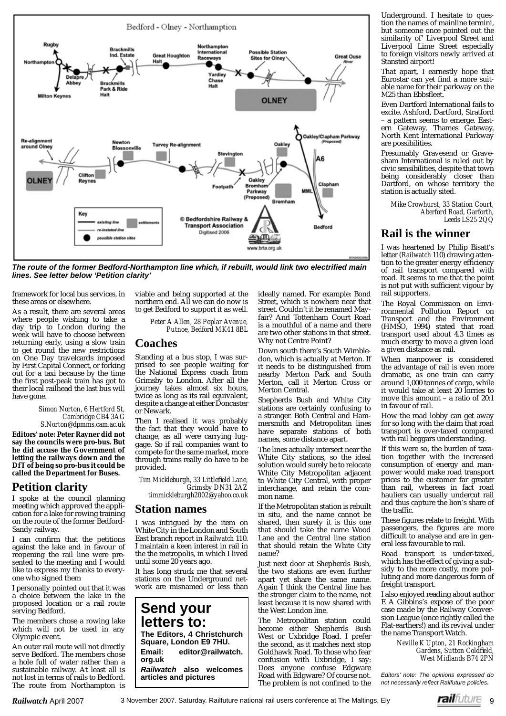

*The route of the former Bedford-Northampton line which, if rebuilt, would link two electrified main lines. See letter below 'Petition clarity'*

framework for local bus services, in these areas or elsewhere.

As a result, there are several areas where people wishing to take a day trip to London during the week will have to choose between returning early, using a slow train to get round the new restrictions on One Day travelcards imposed by First Capital Connect, or forking out for a taxi because by the time the first post-peak train has got to their local railhead the last bus will have gone.

#### *Simon Norton, 6 Hertford St, Cambridge CB4 3AG S.Norton@dpmms.cam.ac.uk*

**Editors' note: Peter Rayner did not say the councils were pro-bus. But he did accuse the Government of letting the railways down and the DfT of being so pro-bus it could be called the Department for Buses.** 

#### **Petition clarity**

I spoke at the council planning meeting which approved the application for a lake for rowing training on the route of the former Bedford-Sandy railway.

I can confirm that the petitions against the lake and in favour of reopening the rail line were presented to the meeting and I would like to express my thanks to everyone who signed them

I personally pointed out that it was a choice between the lake in the proposed location or a rail route serving Bedford.

The members chose a rowing lake which will not be used in any Olympic event.

An outer rail route will not directly serve Bedford. The members chose a hole full of water rather than a sustainable railway. At least all is not lost in terms of rails to Bedford. The route from Northampton is viable and being supported at the northern end. All we can do now is to get Bedford to support it as well.

> *Peter A Allen, 28 Poplar Avenue, Putnoe, Bedford MK41 8BL*

#### **Coaches**

Standing at a bus stop, I was surprised to see people waiting for the National Express coach from Grimsby to London. After all the journey takes almost six hours, twice as long as its rail equivalent, despite a change at either Doncaster or Newark.

Then I realised it was probably the fact that they would have to change, as all were carrying luggage. So if rail companies want to compete for the same market, more through trains really do have to be provided.

 $Tim$  *Mickleburgh, 33 Littlefield Lane, Grimsby DN31 2AZ timmickleburgh2002@yahoo.co.uk*

#### **Station names**

I was intrigued by the item on White City in the London and South East branch report in *Railwatch* 110. I maintain a keen interest in rail in the the metropolis, in which I lived until some 20 years ago.

It has long struck me that several stations on the Underground network are misnamed or less than

**Send your letters to: The Editors, 4 Christchurch Square, London E9 7HU. Email: editor@railwatch. org.uk**  *Railwatch* **also welcomes** 

ideally named. For example: Bond Street, which is nowhere near that street. Couldn't it be renamed Mayfair? And Tottenham Court Road is a mouthful of a name and there are two other stations in that street. Why not Centre Point?

Down south there's South Wimbledon, which is actually at Merton. If it needs to be distinguished from nearby Merton Park and South Merton, call it Merton Cross or Merton Central.

Shepherds Bush and White City stations are certainly confusing to a stranger. Both Central and Hammersmith and Metropolitan lines have separate stations of both names, some distance apart.

The lines actually intersect near the White City stations, so the ideal solution would surely be to relocate White City Metropolitan adjacent to White City Central, with proper interchange, and retain the common name.

If the Metropolitan station is rebuilt in situ, and the name cannot be shared, then surely it is this one that should take the name Wood Lane and the Central line station that should retain the White City name?

Just next door at Shepherds Bush, the two stations are even further apart yet share the same name. Again I think the Central line has the stronger claim to the name, not least because it is now shared with the West London line.

The Metropolitan station could become either Shepherds Bush West or Uxbridge Road. I prefer the second, as it matches next stop Goldhawk Road. To those who fear confusion with Uxbridge, I say: Does anyone confuse Edgware Road with Edgware? Of course not. The problem is not confined to the

Underground. I hesitate to question the names of mainline termini, but someone once pointed out the similarity of' Liverpool Street and Liverpool Lime Street especially to foreign visitors newly arrived at Stansted airport!

That apart, I earnestly hope that Eurostar can yet find a more suitable name for their parkway on the M25 than Ebbsfleet.

Even Dartford International fails to excite. Ashford, Dartford, Stratford – a pattern seems to emerge. Eastern Gateway, Thames Gateway, North Kent International Parkway are possibilities.

Presumably Gravesend or Gravesham International is ruled out by civic sensibilities, despite that town being considerably closer than Dartford, on whose territory the station is actually sited.

*Mike Crowhurst, 33 Station Court, Aberford Road, Garforth, Leeds LS25 2QQ*

#### **Rail is the winner**

I was heartened by Philip Bisatt's letter (*Railwatch* 110) drawing attention to the greater energy efficiency of rail transport compared with road. It seems to me that the point is not put with sufficient vigour by rail supporters.

The Royal Commission on Environmental Pollution Report on Transport and the Environment (HMSO, 1994) stated that road transport used about 4.3 times as much energy to move a given load a given distance as rail.

When manpower is considered the advantage of rail is even more dramatic, as one train can carry around 1,000 tonnes of cargo, while it would take at least 20 lorries to move this amount – a ratio of 20:1 in favour of rail.

How the road lobby can get away for so long with the claim that road transport is over-taxed compared with rail beggars understanding.

If this were so, the burden of taxation together with the increased consumption of energy and manpower would make road transport prices to the customer far greater than rail, whereas in fact road hauliers can usually undercut rail and thus capture the lion's share of the traffic.

These figures relate to freight. With  $\frac{1}{2}$  passengers, the figures are more difficult to analyse and are in general less favourable to rail.

Road transport is under-taxed, which has the effect of giving a subsidy to the more costly, more polluting and more dangerous form of freight transport.

I also enjoyed reading about author E A Gibbins's expose of the poor case made by the Railway Conversion League (once rightly called the Flat-earthers!) and its revival under the name Transport Watch.

*Neville K Upton, 21 Rockingham Gardens, Sutton Coldfi eld, West Midlands B74 2PN*

**articles and pictures** *Editors' note: The opinions expressed do not necessarily refl ect Railfuture policies***.**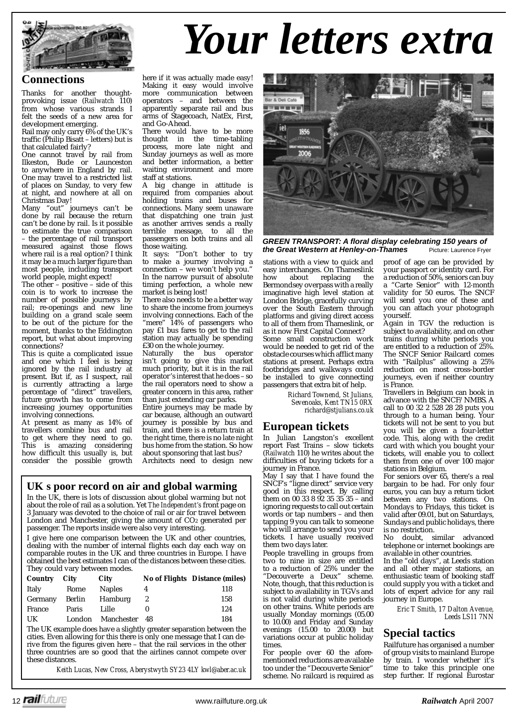

## *Your letters extra*

#### **Connections**

Thanks for another thoughtprovoking issue (*Railwatch* 110) from whose various strands I felt the seeds of a new area for development emerging.

Rail may only carry 6% of the UK's traffic (Philip Bisatt – letters) but is that calculated fairly?

One cannot travel by rail from Ilkeston, Bude or Launceston to anywhere in England by rail. One may travel to a restricted list of places on Sunday, to very few at night, and nowhere at all on Christmas Day!

Many "out" journeys can't be done by rail because the return can't be done by rail. Is it possible to estimate the true comparison – the percentage of rail transport measured against those flows where rail is a real option? I think it may be a much larger figure than most people, including transport world people, might expect!

The other – positive – side of this coin is to work to increase the number of possible journeys by rail; re-openings and new line building on a grand scale seem to be out of the picture for the moment, thanks to the Eddington report, but what about improving connections?

This is quite a complicated issue and one which I feel is being ignored by the rail industry at present. But if, as I suspect, rail is currently attracting a large percentage of "direct" travellers, future growth has to come from increasing journey opportunities involving connections.

At present as many as 14% of travellers combine bus and rail to get where they need to go. This is amazing considering how difficult this usually is, but consider the possible growth here if it was actually made easy! Making it easy would involve more communication between operators – and between the apparently separate rail and bus arms of Stagecoach, NatEx, First, and Go-Ahead.

There would have to be more thought in the time-tabling process, more late night and Sunday journeys as well as more and better information, a better waiting environment and more staff at stations.

A big change in attitude is required from companies about holding trains and buses for connections. Many seem unaware that dispatching one train just as another arrives sends a really terrible message, to all the passengers on both trains and all those waiting.

It says: "Don't bother to try to make a journey involving a connection – we won't help you." In the narrow pursuit of absolute timing perfection, a whole new market is being lost!

There also needs to be a better way to share the income from journeys involving connections. Each of the "mere" 14% of passengers who pay £1 bus fares to get to the rail station may actually be spending £30 on the whole journey.

Naturally the bus operator isn't going to give this market much priority, but it is in the rail operator's interest that he does – so the rail operators need to show a greater concern in this area, rather than just extending car parks.

Entire journeys may be made by car because, although an outward journey is possible by bus and train, and there is a return train at the right time, there is no late night bus home from the station. So how about sponsoring that last bus?

Architects need to design new

#### **UKs poor record on air and global warming**

In the UK, there is lots of discussion about global warming but not about the role of rail as a solution. Yet *The Independent's* front page on 3 January was devoted to the choice of rail or air for travel between London and Manchester, giving the amount of CO2 generated per passenger. The reports inside were also very interesting.

I give here one comparison between the UK and other countries, dealing with the number of internal flights each day each way on comparable routes in the UK and three countries in Europe. I have obtained the best estimates I can of the distances between these cities. They could vary between modes.

| Country | City   | City                 |   | <b>No of Flights Distance (miles)</b> |
|---------|--------|----------------------|---|---------------------------------------|
| Italy   | Rome   | <b>Naples</b>        | 4 | 118                                   |
| Germany | Berlin | Hamburg              | 2 | 158                                   |
| France  | Paris  | Lille                |   | 124                                   |
| UK      |        | London Manchester 48 |   | 184                                   |

The UK example does have a slightly greater separation between the cities. Even allowing for this there is only one message that I can derive from the figures given here – that the rail services in the other three countries are so good that the airlines cannot compete over these distances.

*Keith Lucas, New Cross, Aberystwyth SY23 4LY kwl@aber.ac.uk*



*GREEN TRANSPORT: A fl oral display celebrating 150 years of the Great Western at Henley-on-Thames* Picture: Laurence Fryer

stations with a view to quick and easy interchanges. On Thameslink<br>how about replacing the about replacing Bermondsey overpass with a really imaginative high level station at London Bridge, gracefully curving over the South Eastern through platforms and giving direct access to all of them from Thameslink, or as it now First Capital Connect? Some small construction work would be needed to get rid of the obstacle courses which afflict many stations at present. Perhaps extra footbridges and walkways could be installed to give connecting passengers that extra bit of help. *Richard Townend, St Julians,* 

 *Sevenoaks, Kent TN15 0RX richard@stjulians.co.uk*

#### **European tickets**

In Julian Langston's excellent report Fast Trains – slow tickets (*Railwatch* 110) he writes about the difficulties of buying tickets for a journey in France.

May I say that I have found the SNCF's "ligne direct" service very good in this respect. By calling them on 00 33 8 92 35 35 35 – and ignoring requests to call out certain words or tap numbers – and then tapping 9 you can talk to someone who will arrange to send you your tickets. I have usually received them two days later.

People travelling in groups from two to nine in size are entitled to a reduction of 25% under the "Decouverte a Deux" scheme. Note, though, that this reduction is subject to availability in TGVs and is not valid during white periods on other trains. White periods are usually Monday mornings (05.00 to 10.00) and Friday and Sunday evenings (15.00 to 20.00) but variations occur at public holiday times.

For people over 60 the aforementioned reductions are available too under the "Decouverte Senior" scheme. No railcard is required as proof of age can be provided by your passport or identity card. For a reduction of 50%, seniors can buy a "Carte Senior" with 12-month validity for 50 euros. The SNCF will send you one of these and you can attach your photograph yourself.

Again in TGV the reduction is subject to availability, and on other trains during white periods you are entitled to a reduction of 25%. The SNCF Senior Railcard comes with "Railplus" allowing a 25% reduction on most cross-border journeys, even if neither country is France.

Travellers in Belgium can book in advance with the SNCF/NMBS. A call to 00 32 2 528 28 28 puts you through to a human being. Your tickets will not be sent to you but you will be given a four-letter code. This, along with the credit card with which you bought your tickets, will enable you to collect them from one of over 100 major stations in Belgium.

For seniors over 65, there's a real bargain to be had. For only four euros, you can buy a return ticket between any two stations. On Mondays to Fridays, this ticket is valid after 09.01, but on Saturdays, Sundays and public holidays, there is no restriction.

No doubt, similar advanced telephone or internet bookings are available in other countries.

In the "old days", at Leeds station and all other major stations, an enthusiastic team of booking staff could supply you with a ticket and lots of expert advice for any rail journey in Europe.

> *Eric T Smith, 17 Dalton Avenue, Leeds LS11 7NN*

#### **Special tactics**

Railfuture has organised a number of group visits to mainland Europe by train. I wonder whether it's time to take this principle one step further. If regional Eurostar